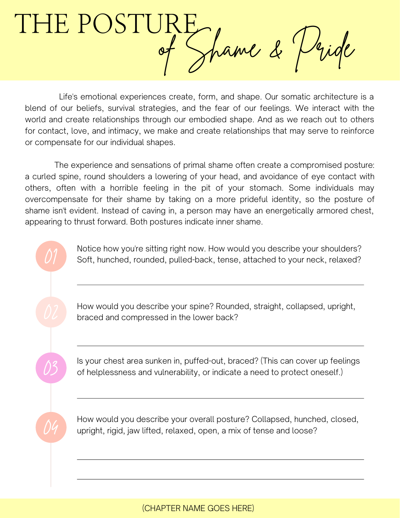THE POSTURE, pame & Pride

Life's emotional experiences create, form, and shape. Our somatic architecture is a blend of our beliefs, survival strategies, and the fear of our feelings. We interact with the world and create relationships through our embodied shape. And as we reach out to others for contact, love, and intimacy, we make and create relationships that may serve to reinforce or compensate for our individual shapes.

The experience and sensations of primal shame often create a compromised posture: a curled spine, round shoulders a lowering of your head, and avoidance of eye contact with others, often with a horrible feeling in the pit of your stomach. Some individuals may overcompensate for their shame by taking on a more prideful identity, so the posture of shame isn't evident. Instead of caving in, a person may have an energetically armored chest, appearing to thrust forward. Both postures indicate inner shame.

> Notice how you're sitting right now. How would you describe your shoulders? Soft, hunched, rounded, pulled-back, tense, attached to your neck, relaxed?

How would you describe your spine? Rounded, straight, collapsed, upright, braced and compressed in the lower back?

Is your chest area sunken in, puffed-out, braced? (This can cover up feelings of helplessness and vulnerability, or indicate a need to protect oneself.)

03

04

How would you describe your overall posture? Collapsed, hunched, closed, upright, rigid, jaw lifted, relaxed, open, a mix of tense and loose?